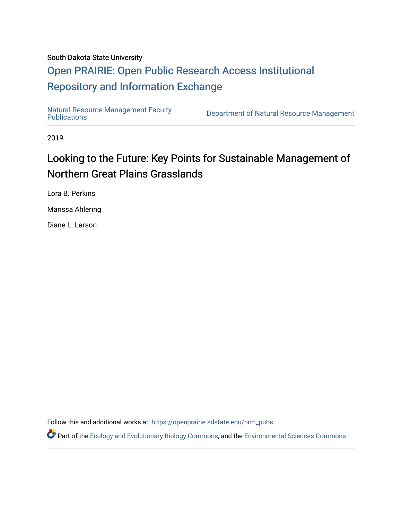# South Dakota State University

# [Open PRAIRIE: Open Public Research Access Institutional](https://openprairie.sdstate.edu/)  [Repository and Information Exchange](https://openprairie.sdstate.edu/)

[Natural Resource Management Faculty](https://openprairie.sdstate.edu/nrm_pubs) 

Department of Natural Resource Management

2019

# Looking to the Future: Key Points for Sustainable Management of Northern Great Plains Grasslands

Lora B. Perkins

Marissa Ahlering

Diane L. Larson

Follow this and additional works at: [https://openprairie.sdstate.edu/nrm\\_pubs](https://openprairie.sdstate.edu/nrm_pubs?utm_source=openprairie.sdstate.edu%2Fnrm_pubs%2F297&utm_medium=PDF&utm_campaign=PDFCoverPages)

**P** Part of the [Ecology and Evolutionary Biology Commons](http://network.bepress.com/hgg/discipline/14?utm_source=openprairie.sdstate.edu%2Fnrm_pubs%2F297&utm_medium=PDF&utm_campaign=PDFCoverPages), and the [Environmental Sciences Commons](http://network.bepress.com/hgg/discipline/167?utm_source=openprairie.sdstate.edu%2Fnrm_pubs%2F297&utm_medium=PDF&utm_campaign=PDFCoverPages)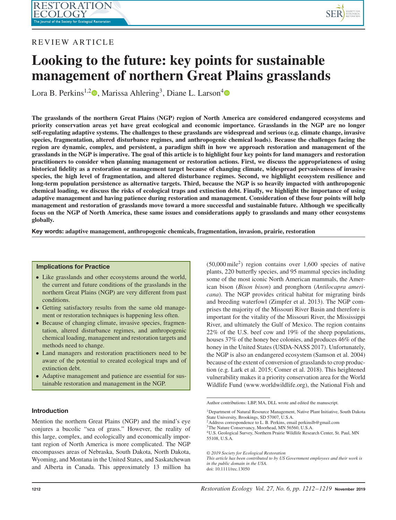# **Looking to the future: key points for sustainable management of northern Great Plains grasslands**

Lora B. Perkins<sup>1[,](https://orcid.org/0000-0002-0689-4995)2</sup><sup>0</sup>, Marissa Ahlering<sup>3</sup>, Diane L. Larson<sup>[4](https://orcid.org/0000-0001-5202-0634)</sup><sup>0</sup>

**The grasslands of the northern Great Plains (NGP) region of North America are considered endangered ecosystems and priority conservation areas yet have great ecological and economic importance. Grasslands in the NGP are no longer self-regulating adaptive systems. The challenges to these grasslands are widespread and serious (e.g. climate change, invasive species, fragmentation, altered disturbance regimes, and anthropogenic chemical loads). Because the challenges facing the region are dynamic, complex, and persistent, a paradigm shift in how we approach restoration and management of the grasslands in the NGP is imperative. The goal of this article is to highlight four key points for land managers and restoration practitioners to consider when planning management or restoration actions. First, we discuss the appropriateness of using historical fidelity as a restoration or management target because of changing climate, widespread pervasiveness of invasive species, the high level of fragmentation, and altered disturbance regimes. Second, we highlight ecosystem resilience and long-term population persistence as alternative targets. Third, because the NGP is so heavily impacted with anthropogenic chemical loading, we discuss the risks of ecological traps and extinction debt. Finally, we highlight the importance of using adaptive management and having patience during restoration and management. Consideration of these four points will help management and restoration of grasslands move toward a more successful and sustainable future. Although we specifically focus on the NGP of North America, these same issues and considerations apply to grasslands and many other ecosystems globally.**

**Key words: adaptive management, anthropogenic chemicals, fragmentation, invasion, prairie, restoration**

#### **Implications for Practice**

- Like grasslands and other ecosystems around the world, the current and future conditions of the grasslands in the northern Great Plains (NGP) are very different from past conditions.
- Getting satisfactory results from the same old management or restoration techniques is happening less often.
- Because of changing climate, invasive species, fragmentation, altered disturbance regimes, and anthropogenic chemical loading, management and restoration targets and methods need to change.
- Land managers and restoration practitioners need to be aware of the potential to created ecological traps and of extinction debt.
- Adaptive management and patience are essential for sustainable restoration and management in the NGP.

#### **Introduction**

Mention the northern Great Plains (NGP) and the mind's eye conjures a bucolic "sea of grass." However, the reality of this large, complex, and ecologically and economically important region of North America is more complicated. The NGP encompasses areas of Nebraska, South Dakota, North Dakota, Wyoming, and Montana in the United States, and Saskatchewan and Alberta in Canada. This approximately 13 million ha  $(50,000 \text{ mile}^2)$  region contains over 1,600 species of native plants, 220 butterfly species, and 95 mammal species including some of the most iconic North American mammals, the American bison (*Bison bison*) and pronghorn (*Antilocapra americana*). The NGP provides critical habitat for migrating birds and breeding waterfowl (Zimpfer et al. 2013). The NGP comprises the majority of the Missouri River Basin and therefore is important for the vitality of the Missouri River, the Mississippi River, and ultimately the Gulf of Mexico. The region contains 22% of the U.S. beef cow and 19% of the sheep populations, houses 37% of the honey bee colonies, and produces 46% of the honey in the United States (USDA-NASS 2017). Unfortunately, the NGP is also an endangered ecosystem (Samson et al. 2004) because of the extent of conversion of grasslands to crop production (e.g. Lark et al. 2015; Comer et al. 2018). This heightened vulnerability makes it a priority conservation area for the World Wildlife Fund [\(www.worldwildlife.org\)](http://www.worldwildlife.org), the National Fish and

Author contributions: LBP, MA, DLL wrote and edited the manuscript.

<sup>&</sup>lt;sup>1</sup>Department of Natural Resource Management, Native Plant Initiative, South Dakota State University, Brookings, SD 57007, U.S.A.

<sup>&</sup>lt;sup>2</sup>Address correspondence to L. B. Perkins, email perkinslb@gmail.com

<sup>3</sup>The Nature Conservancy, Moorhead, MN 56560, U.S.A.

<sup>4</sup>U.S. Geological Survey, Northern Prairie Wildlife Research Center, St. Paul, MN 55108, U.S.A.

*<sup>© 2019</sup> Society for Ecological Restoration*

*This article has been contributed to by US Government employees and their work is in the public domain in the USA.* doi: 10.1111/rec.13050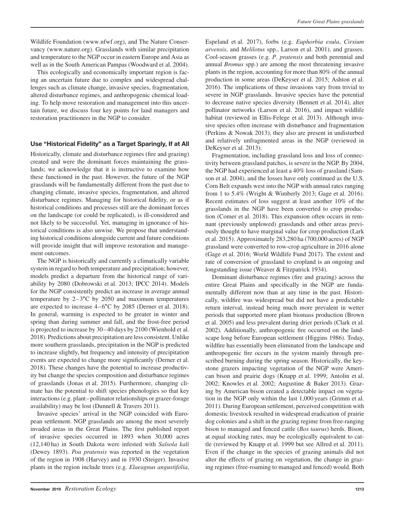Wildlife Foundation [\(www.nfwf.org\)](http://www.nfwf.org), and The Nature Conservancy [\(www.nature.org\)](http://www.nature.org). Grasslands with similar precipitation and temperature to the NGP occur in eastern Europe and Asia as well as in the South American Pampas (Woodward et al. 2004).

This ecologically and economically important region is facing an uncertain future due to complex and widespread challenges such as climate change, invasive species, fragmentation, altered disturbance regimes, and anthropogenic chemical loading. To help move restoration and management into this uncertain future, we discuss four key points for land managers and restoration practitioners in the NGP to consider.

#### **Use "Historical Fidelity" as a Target Sparingly, If at All**

Historically, climate and disturbance regimes (fire and grazing) created and were the dominant forces maintaining the grasslands; we acknowledge that it is instructive to examine how these functioned in the past. However, the future of the NGP grasslands will be fundamentally different from the past due to changing climate, invasive species, fragmentation, and altered disturbance regimes. Managing for historical fidelity, or as if historical conditions and processes still are the dominant forces on the landscape (or could be replicated), is ill-considered and not likely to be successful. Yet, managing in ignorance of historical conditions is also unwise. We propose that understanding historical conditions alongside current and future conditions will provide insight that will improve restoration and management outcomes.

The NGP is historically and currently a climatically variable system in regard to both temperature and precipitation; however, models predict a departure from the historical range of variability by 2080 (Dobrowski et al. 2013; IPCC 2014). Models for the NGP consistently predict an increase in average annual temperature by 2–3∘C by 2050 and maximum temperatures are expected to increase 4–6∘C by 2085 (Derner et al. 2018). In general, warming is expected to be greater in winter and spring than during summer and fall, and the frost-free period is projected to increase by 30–40 days by 2100 (Wienhold et al. 2018). Predictions about precipitation are less consistent. Unlike more southern grasslands, precipitation in the NGP is predicted to increase slightly, but frequency and intensity of precipitation events are expected to change more significantly (Derner et al. 2018). These changes have the potential to increase productivity but change the species composition and disturbance regimes of grasslands (Jonas et al. 2015). Furthermore, changing climate has the potential to shift species phenologies so that key interactions (e.g. plant–pollinator relationships or grazer-forage availability) may be lost (Dunnell & Travers 2011).

Invasive species' arrival in the NGP coincided with European settlement. NGP grasslands are among the most severely invaded areas in the Great Plains. The first published report of invasive species occurred in 1893 when 30,000 acres (12,140 ha) in South Dakota were infested with *Salsola kali* (Dewey 1893). *Poa pratensis* was reported in the vegetation of the region in 1908 (Harvey) and in 1930 (Steiger). Invasive plants in the region include trees (e.g. *Elaeagnus angustifolia*, Espeland et al. 2017), forbs (e.g. *Euphorbia esula*, *Cirsium arvensis*, and *Melilotus* spp., Larson et al. 2001), and grasses. Cool-season grasses (e.g. *P*. *pratensis* and both perennial and annual *Bromus* spp.) are among the most threatening invasive plants in the region, accounting for more than 80% of the annual production in some areas (DeKeyser et al. 2015; Ashton et al. 2016). The implications of these invasions vary from trivial to severe in NGP grasslands. Invasive species have the potential to decrease native species diversity (Bennett et al. 2014), alter pollinator networks (Larson et al. 2016), and impact wildlife habitat (reviewed in Ellis-Felege et al. 2013). Although invasive species often increase with disturbance and fragmentation (Perkins & Nowak 2013), they also are present in undisturbed and relatively unfragmented areas in the NGP (reviewed in DeKeyser et al. 2013).

Fragmentation, including grassland loss and loss of connectivity between grassland patches, is severe in the NGP. By 2004, the NGP had experienced at least a 40% loss of grassland (Samson et al. 2004), and the losses have only continued as the U.S. Corn Belt expands west into the NGP with annual rates ranging from 1 to 5.4% (Wright & Wimberly 2013; Gage et al. 2016). Recent estimates of loss suggest at least another 10% of the grasslands in the NGP have been converted to crop production (Comer et al. 2018). This expansion often occurs in remnant (previously unplowed) grasslands and other areas previously thought to have marginal value for crop production (Lark et al. 2015). Approximately 283,280 ha (700,000 acres) of NGP grassland were converted to row-crop agriculture in 2016 alone (Gage et al. 2016; World Wildlife Fund 2017). The extent and rate of conversion of grassland to cropland is an ongoing and longstanding issue (Weaver & Fitzpatrick 1934).

Dominant disturbance regimes (fire and grazing) across the entire Great Plains and specifically in the NGP are fundamentally different now than at any time in the past. Historically, wildfire was widespread but did not have a predictable return interval, instead being much more prevalent in wetter periods that supported more plant biomass production (Brown et al. 2005) and less prevalent during drier periods (Clark et al. 2002). Additionally, anthropogenic fire occurred on the landscape long before European settlement (Higgins 1986). Today, wildfire has essentially been eliminated from the landscape and anthropogenic fire occurs in the system mainly through prescribed burning during the spring season. Historically, the keystone grazers impacting vegetation of the NGP were American bison and prairie dogs (Knapp et al. 1999; Antolin et al. 2002; Knowles et al. 2002; Augustine & Baker 2013). Grazing by American bison created a detectable impact on vegetation in the NGP only within the last 1,000 years (Grimm et al. 2011). During European settlement, perceived competition with domestic livestock resulted in widespread eradication of prairie dog colonies and a shift in the grazing regime from free-ranging bison to managed and fenced cattle (*Bos taurus*) herds. Bison, at equal stocking rates, may be ecologically equivalent to cattle (reviewed by Knapp et al. 1999 but see Allred et al. 2011). Even if the change in the species of grazing animals did not alter the effects of grazing on vegetation, the change in grazing regimes (free-roaming to managed and fenced) would. Both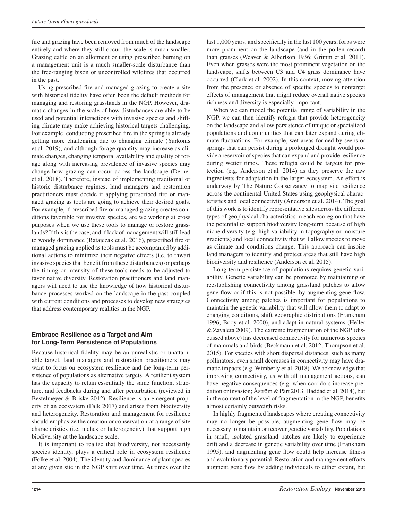fire and grazing have been removed from much of the landscape entirely and where they still occur, the scale is much smaller. Grazing cattle on an allotment or using prescribed burning on a management unit is a much smaller-scale disturbance than the free-ranging bison or uncontrolled wildfires that occurred in the past.

Using prescribed fire and managed grazing to create a site with historical fidelity have often been the default methods for managing and restoring grasslands in the NGP. However, dramatic changes in the scale of how disturbances are able to be used and potential interactions with invasive species and shifting climate may make achieving historical targets challenging. For example, conducting prescribed fire in the spring is already getting more challenging due to changing climate (Yurkonis et al. 2019), and although forage quantity may increase as climate changes, changing temporal availability and quality of forage along with increasing prevalence of invasive species may change how grazing can occur across the landscape (Derner et al. 2018). Therefore, instead of implementing traditional or historic disturbance regimes, land managers and restoration practitioners must decide if applying prescribed fire or managed grazing as tools are going to achieve their desired goals. For example, if prescribed fire or managed grazing creates conditions favorable for invasive species, are we working at cross purposes when we use these tools to manage or restore grasslands? If this is the case, and if lack of management will still lead to woody dominance (Ratajczak et al. 2016), prescribed fire or managed grazing applied as tools must be accompanied by additional actions to minimize their negative effects (i.e. to thwart invasive species that benefit from these disturbances) or perhaps the timing or intensity of these tools needs to be adjusted to favor native diversity. Restoration practitioners and land managers will need to use the knowledge of how historical disturbance processes worked on the landscape in the past coupled with current conditions and processes to develop new strategies that address contemporary realities in the NGP.

## **Embrace Resilience as a Target and Aim for Long-Term Persistence of Populations**

Because historical fidelity may be an unrealistic or unattainable target, land managers and restoration practitioners may want to focus on ecosystem resilience and the long-term persistence of populations as alternative targets. A resilient system has the capacity to retain essentially the same function, structure, and feedbacks during and after perturbation (reviewed in Bestelmeyer & Briske 2012). Resilience is an emergent property of an ecosystem (Falk 2017) and arises from biodiversity and heterogeneity. Restoration and management for resilience should emphasize the creation or conservation of a range of site characteristics (i.e. niches or heterogeneity) that support high biodiversity at the landscape scale.

It is important to realize that biodiversity, not necessarily species identity, plays a critical role in ecosystem resilience (Folke et al. 2004). The identity and dominance of plant species at any given site in the NGP shift over time. At times over the last 1,000 years, and specifically in the last 100 years, forbs were more prominent on the landscape (and in the pollen record) than grasses (Weaver & Albertson 1936; Grimm et al. 2011). Even when grasses were the most prominent vegetation on the landscape, shifts between C3 and C4 grass dominance have occurred (Clark et al. 2002). In this context, moving attention from the presence or absence of specific species to nontarget effects of management that might reduce overall native species richness and diversity is especially important.

When we can model the potential range of variability in the NGP, we can then identify refugia that provide heterogeneity on the landscape and allow persistence of unique or specialized populations and communities that can later expand during climate fluctuations. For example, wet areas formed by seeps or springs that can persist during a prolonged drought would provide a reservoir of species that can expand and provide resilience during wetter times. These refugia could be targets for protection (e.g. Anderson et al. 2014) as they preserve the raw ingredients for adaptation in the larger ecosystem. An effort is underway by The Nature Conservancy to map site resilience across the continental United States using geophysical characteristics and local connectivity (Anderson et al. 2014). The goal of this work is to identify representative sites across the different types of geophysical characteristics in each ecoregion that have the potential to support biodiversity long-term because of high niche diversity (e.g. high variability in topography or moisture gradients) and local connectivity that will allow species to move as climate and conditions change. This approach can inspire land managers to identify and protect areas that still have high biodiversity and resilience (Anderson et al. 2015).

Long-term persistence of populations requires genetic variability. Genetic variability can be promoted by maintaining or reestablishing connectivity among grassland patches to allow gene flow or if this is not possible, by augmenting gene flow. Connectivity among patches is important for populations to maintain the genetic variability that will allow them to adapt to changing conditions, shift geographic distributions (Frankham 1996; Booy et al. 2000), and adapt in natural systems (Heller & Zavaleta 2009). The extreme fragmentation of the NGP (discussed above) has decreased connectivity for numerous species of mammals and birds (Beckmann et al. 2012; Thompson et al. 2015). For species with short dispersal distances, such as many pollinators, even small decreases in connectivity may have dramatic impacts (e.g. Wimberly et al. 2018). We acknowledge that improving connectivity, as with all management actions, can have negative consequences (e.g. when corridors increase predation or invasion; Åström & Pärt 2013, Haddad et al. 2014), but in the context of the level of fragmentation in the NGP, benefits almost certainly outweigh risks.

In highly fragmented landscapes where creating connectivity may no longer be possible, augmenting gene flow may be necessary to maintain or recover genetic variability. Populations in small, isolated grassland patches are likely to experience drift and a decrease in genetic variability over time (Frankham 1995), and augmenting gene flow could help increase fitness and evolutionary potential. Restoration and management efforts augment gene flow by adding individuals to either extant, but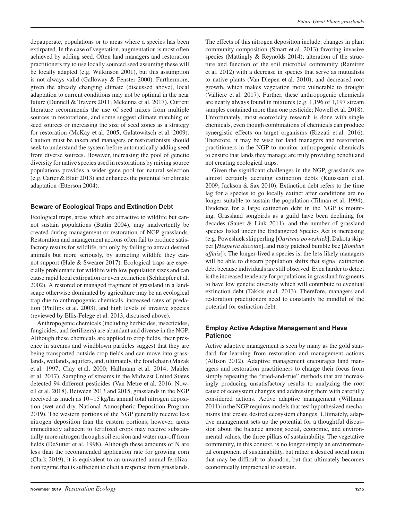depauperate, populations or to areas where a species has been extirpated. In the case of vegetation, augmentation is most often achieved by adding seed. Often land managers and restoration practitioners try to use locally sourced seed assuming these will be locally adapted (e.g. Wilkinson 2001), but this assumption is not always valid (Galloway & Fenster 2000). Furthermore, given the already changing climate (discussed above), local adaptation to current conditions may not be optimal in the near future (Dunnell & Travers 2011; Mckenna et al. 2017). Current literature recommends the use of seed mixes from multiple sources in restorations, and some suggest climate matching of seed sources or increasing the size of seed zones as a strategy for restoration (McKay et al. 2005; Galatowitsch et al. 2009). Caution must be taken and managers or restorationists should seek to understand the system before automatically adding seed from diverse sources. However, increasing the pool of genetic diversity for native species used in restorations by mixing source populations provides a wider gene pool for natural selection (e.g. Carter & Blair 2013) and enhances the potential for climate adaptation (Etterson 2004).

#### **Beware of Ecological Traps and Extinction Debt**

Ecological traps, areas which are attractive to wildlife but cannot sustain populations (Battin 2004), may inadvertently be created during management or restoration of NGP grasslands. Restoration and management actions often fail to produce satisfactory results for wildlife, not only by failing to attract desired animals but more seriously, by attracting wildlife they cannot support (Hale & Swearer 2017). Ecological traps are especially problematic for wildlife with low population sizes and can cause rapid local extirpation or even extinction (Schlaepfer et al. 2002). A restored or managed fragment of grassland in a landscape otherwise dominated by agriculture may be an ecological trap due to anthropogenic chemicals, increased rates of predation (Phillips et al. 2003), and high levels of invasive species (reviewed by Ellis-Felege et al. 2013, discussed above).

Anthropogenic chemicals (including herbicides, insecticides, fungicides, and fertilizers) are abundant and diverse in the NGP. Although these chemicals are applied to crop fields, their presence in streams and windblown particles suggest that they are being transported outside crop fields and can move into grasslands, wetlands, aquifers, and, ultimately, the food chain (Mazak et al. 1997; Clay et al. 2000; Hallmann et al. 2014; Mahler et al. 2017). Sampling of streams in the Midwest United States detected 94 different pesticides (Van Metre et al. 2016; Nowell et al. 2018). Between 2013 and 2015, grasslands in the NGP received as much as 10–15 kg/ha annual total nitrogen deposition (wet and dry, National Atmospheric Deposition Program 2019). The western portions of the NGP generally receive less nitrogen deposition than the eastern portions; however, areas immediately adjacent to fertilized crops may receive substantially more nitrogen through soil erosion and water run-off from fields (DeSutter et al. 1998). Although these amounts of N are less than the recommended application rate for growing corn (Clark 2019), it is equivalent to an unwanted annual fertilization regime that is sufficient to elicit a response from grasslands. The effects of this nitrogen deposition include: changes in plant community composition (Smart et al. 2013) favoring invasive species (Mattingly & Reynolds 2014); alteration of the structure and function of the soil microbial community (Ramirez et al. 2012) with a decrease in species that serve as mutualists to native plants (Van Diepen et al. 2010); and decreased root growth, which makes vegetation more vulnerable to drought (Valliere et al. 2017). Further, these anthropogenic chemicals are nearly always found in mixtures (e.g. 1,196 of 1,197 stream samples contained more than one pesticide; Nowell et al. 2018). Unfortunately, most ecotoxicity research is done with single chemicals, even though combinations of chemicals can produce synergistic effects on target organisms (Rizzati et al. 2016). Therefore, it may be wise for land managers and restoration practitioners in the NGP to monitor anthropogenic chemicals to ensure that lands they manage are truly providing benefit and not creating ecological traps.

Given the significant challenges in the NGP, grasslands are almost certainly accruing extinction debts (Kuussaari et al. 2009; Jackson & Sax 2010). Extinction debt refers to the time lag for a species to go locally extinct after conditions are no longer suitable to sustain the population (Tilman et al. 1994). Evidence for a large extinction debt in the NGP is mounting. Grassland songbirds as a guild have been declining for decades (Sauer & Link 2011), and the number of grassland species listed under the Endangered Species Act is increasing (e.g. Poweshiek skipperling [*Oarisma poweshiek*], Dakota skipper [*Hesperia dacotae*], and rusty patched bumble bee [*Bombus affinis*]). The longer-lived a species is, the less likely managers will be able to discern population shifts that signal extinction debt because individuals are still observed. Even harder to detect is the increased tendency for populations in grassland fragments to have low genetic diversity which will contribute to eventual extinction debt (Takkis et al. 2013). Therefore, managers and restoration practitioners need to constantly be mindful of the potential for extinction debt.

#### **Employ Active Adaptive Management and Have Patience**

Active adaptive management is seen by many as the gold standard for learning from restoration and management actions (Allison 2012). Adaptive management encourages land managers and restoration practitioners to change their focus from simply repeating the "tried-and-true" methods that are increasingly producing unsatisfactory results to analyzing the root cause of ecosystem changes and addressing them with carefully considered actions. Active adaptive management (Williams 2011) in the NGP requires models that test hypothesized mechanisms that create desired ecosystem changes. Ultimately, adaptive management sets up the potential for a thoughtful discussion about the balance among social, economic, and environmental values, the three pillars of sustainability. The vegetative community, in this context, is no longer simply an environmental component of sustainability, but rather a desired social norm that may be difficult to abandon, but that ultimately becomes economically impractical to sustain.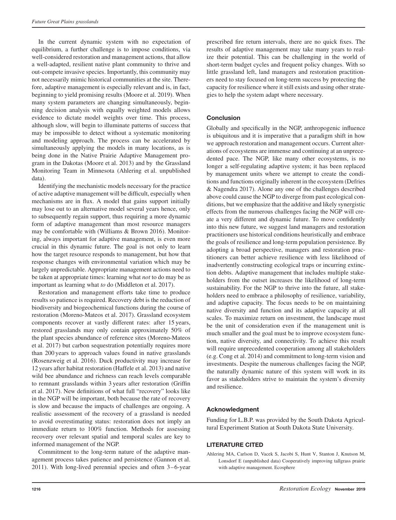In the current dynamic system with no expectation of equilibrium, a further challenge is to impose conditions, via well-considered restoration and management actions, that allow a well-adapted, resilient native plant community to thrive and out-compete invasive species. Importantly, this community may not necessarily mimic historical communities at the site. Therefore, adaptive management is especially relevant and is, in fact, beginning to yield promising results (Moore et al. 2019). When many system parameters are changing simultaneously, beginning decision analysis with equally weighted models allows evidence to dictate model weights over time. This process, although slow, will begin to illuminate patterns of success that may be impossible to detect without a systematic monitoring and modeling approach. The process can be accelerated by simultaneously applying the models in many locations, as is being done in the Native Prairie Adaptive Management program in the Dakotas (Moore et al. 2013) and by the Grassland Monitoring Team in Minnesota (Ahlering et al. unpublished data).

Identifying the mechanistic models necessary for the practice of active adaptive management will be difficult, especially when mechanisms are in flux. A model that gains support initially may lose out to an alternative model several years hence, only to subsequently regain support, thus requiring a more dynamic form of adaptive management than most resource managers may be comfortable with (Williams & Brown 2016). Monitoring, always important for adaptive management, is even more crucial in this dynamic future. The goal is not only to learn how the target resource responds to management, but how that response changes with environmental variation which may be largely unpredictable. Appropriate management actions need to be taken at appropriate times: learning what *not* to do may be as important as learning what *to* do (Middleton et al. 2017).

Restoration and management efforts take time to produce results so patience is required. Recovery debt is the reduction of biodiversity and biogeochemical functions during the course of restoration (Moreno-Mateos et al. 2017). Grassland ecosystem components recover at vastly different rates: after 15 years, restored grasslands may only contain approximately 50% of the plant species abundance of reference sites (Moreno-Mateos et al. 2017) but carbon sequestration potentially requires more than 200 years to approach values found in native grasslands (Rosenzweig et al. 2016). Duck productivity may increase for 12 years after habitat restoration (Haffele et al. 2013) and native wild bee abundance and richness can reach levels comparable to remnant grasslands within 3 years after restoration (Griffin et al. 2017). New definitions of what full "recovery" looks like in the NGP will be important, both because the rate of recovery is slow and because the impacts of challenges are ongoing. A realistic assessment of the recovery of a grassland is needed to avoid overestimating status: restoration does not imply an immediate return to 100% function. Methods for assessing recovery over relevant spatial and temporal scales are key to informed management of the NGP.

Commitment to the long-term nature of the adaptive management process takes patience and persistence (Gannon et al. 2011). With long-lived perennial species and often 3–6-year

## **Conclusion**

Globally and specifically in the NGP, anthropogenic influence is ubiquitous and it is imperative that a paradigm shift in how we approach restoration and management occurs. Current alterations of ecosystems are immense and continuing at an unprecedented pace. The NGP, like many other ecosystems, is no longer a self-regulating adaptive system; it has been replaced by management units where we attempt to create the conditions and functions originally inherent in the ecosystem (Defries & Nagendra 2017). Alone any one of the challenges described above could cause the NGP to diverge from past ecological conditions, but we emphasize that the additive and likely synergistic effects from the numerous challenges facing the NGP will create a very different and dynamic future. To move confidently into this new future, we suggest land managers and restoration practitioners use historical conditions heuristically and embrace the goals of resilience and long-term population persistence. By adopting a broad perspective, managers and restoration practitioners can better achieve resilience with less likelihood of inadvertently constructing ecological traps or incurring extinction debts. Adaptive management that includes multiple stakeholders from the outset increases the likelihood of long-term sustainability. For the NGP to thrive into the future, all stakeholders need to embrace a philosophy of resilience, variability, and adaptive capacity. The focus needs to be on maintaining native diversity and function and its adaptive capacity at all scales. To maximize return on investment, the landscape must be the unit of consideration even if the management unit is much smaller and the goal must be to improve ecosystem function, native diversity, and connectivity. To achieve this result will require unprecedented cooperation among all stakeholders (e.g. Cong et al. 2014) and commitment to long-term vision and investments. Despite the numerous challenges facing the NGP, the naturally dynamic nature of this system will work in its favor as stakeholders strive to maintain the system's diversity and resilience.

## **Acknowledgment**

Funding for L.B.P. was provided by the South Dakota Agricultural Experiment Station at South Dakota State University.

## **LITERATURE CITED**

Ahlering MA, Carlson D, Vacek S, Jacobi S, Hunt V, Stanton J, Knutson M, Lonsdorf E (unpublished data) Cooperatively improving tallgrass prairie with adaptive management. Ecosphere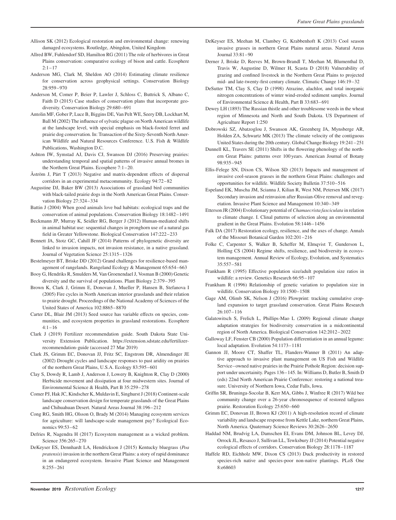- Allison SK (2012) Ecological restoration and environmental change: renewing damaged ecosystems. Routledge, Abingdon, United Kingdom
- Allred BW, Fuhlendorf SD, Hamilton RG (2011) The role of herbivores in Great Plains conservation: comparative ecology of bison and cattle. Ecosphere  $2:1-17$
- Anderson MG, Clark M, Sheldon AO (2014) Estimating climate resilience for conservation across geophysical settings. Conservation Biology 28:959–970
- Anderson M, Comer P, Beier P, Lawler J, Schloss C, Buttrick S, Albano C, Faith D (2015) Case studies of conservation plans that incorporate geodiversity. Conservation Biology 29:680–691
- Antolin MF, Gober P, Luce B, Biggins DE, Van Pelt WE, Seery DB, Lockhart M, Ball M (2002) The influence of sylvatic plague on North American wildlife at the landscape level, with special emphasis on black-footed ferret and prairie dog conservation. In: Transaction of the Sixty-Seventh North American Wildlife and Natural Resources Conference. U.S. Fish & Wildlife Publications, Washington D.C.
- Ashton IW, Symstad AJ, Davis CJ, Swanson DJ (2016) Preserving prairies: understanding temporal and spatial patterns of invasive annual bromes in the Northern Great Plains. Ecosphere 7:1–20.
- Åström J, Pärt T (2013) Negative and matrix-dependent effects of dispersal corridors in an experimental metacommunity. Ecology 94:72–82
- Augustine DJ, Baker BW (2013) Associations of grassland bird communities with black-tailed prairie dogs in the North American Great Plains. Conservation Biology 27:324–334
- Battin J (2004) When good animals love bad habitats: ecological traps and the conservation of animal populations. Conservation Biology 18:1482–1491
- Beckmann JP, Murray K, Seidler RG, Berger J (2012) Human-mediated shifts in animal habitat use: sequential changes in pronghorn use of a natural gas field in Greater Yellowstone. Biological Conservation 147:222–233
- Bennett JA, Stotz GC, Cahill JF (2014) Patterns of phylogenetic diversity are linked to invasion impacts, not invasion resistance, in a native grassland. Journal of Vegetation Science 25:1315–1326
- Bestelmeyer BT, Briske DD (2012) Grand challenges for resilience-based management of rangelands. Rangeland Ecology & Management 65:654–663
- Booy G, Hendriks R, Smulders M, Van Groenendael J, Vosman B (2000) Genetic diversity and the survival of populations. Plant Biology 2:379–395
- Brown K, Clark J, Grimm E, Donovan J, Mueller P, Hansen B, Stefanova I (2005) Fire cycles in North American interior grasslands and their relation to prairie drought. Proceedings of the National Academy of Sciences of the United States of America 102:8865–8870
- Carter DL, Blair JM (2013) Seed source has variable effects on species, communities, and ecosystem properties in grassland restorations. Ecosphere 4:1–16
- Clark J (2019) Fertilizer recommendation guide. South Dakota State University Extension Publication. [https://extension.sdstate.edu/fertilizer](https://extension.sdstate.edu/fertilizer-recommendation-guide)[recommendation-guide](https://extension.sdstate.edu/fertilizer-recommendation-guide) (accessed 27 Mar 2019)
- Clark JS, Grimm EC, Donovan JJ, Fritz SC, Engstrom DR, Almendinger JE (2002) Drought cycles and landscape responses to past aridity on prairies of the northern Great Plains, U.S.A. Ecology 83:595–601
- Clay S, Dowdy R, Lamb J, Anderson J, Lowery B, Knighton R, Clay D (2000) Herbicide movement and dissipation at four midwestern sites. Journal of Environmental Science & Health, Part B 35:259–278
- Comer PJ, Hak JC, Kindscher K, Muldavin E, Singhurst J (2018) Continent-scale landscape conservation design for temperate grasslands of the Great Plains and Chihuahuan Desert. Natural Areas Journal 38:196–212
- Cong RG, Smith HG, Olsson O, Brady M (2014) Managing ecosystem services for agriculture: will landscape-scale management pay? Ecological Economics 99:53–62
- Defries R, Nagendra H (2017) Ecosystem management as a wicked problem. Science 356:265–270
- DeKeyser ES, Dennhardt LA, Hendrickson J (2015) Kentucky bluegrass (*Poa pratensis*) invasion in the northern Great Plains: a story of rapid dominance in an endangered ecosystem. Invasive Plant Science and Management 8:255–261
- DeKeyser ES, Meehan M, Clambey G, Krabbenhoft K (2013) Cool season invasive grasses in northern Great Plains natural areas. Natural Areas Journal 33:81–90
- Derner J, Briske D, Reeves M, Brown-Brandl T, Meehan M, Blumenthal D, Travis W, Augustine D, Wilmer H, Scasta D (2018) Vulnerability of grazing and confined livestock in the Northern Great Plains to projected mid- and late-twenty-first century climate. Climatic Change 146:19–32
- DeSutter TM, Clay S, Clay D (1998) Atrazine, alachlor, and total inorganic nitrogen concentrations of winter wind-eroded sediment samples. Journal of Environmental Science & Health, Part B 33:683–691
- Dewey LH (1893) The Russian thistle and other troublesome weeds in the wheat region of Minnesota and North and South Dakota. US Department of Agriculture Report 1:250
- Dobrowski SZ, Abatzoglou J, Swanson AK, Greenberg JA, Mynsberge AR, Holden ZA, Schwartz MK (2013) The climate velocity of the contiguous United States during the 20th century. Global Change Biology 19:241–251
- Dunnell KL, Travers SE (2011) Shifts in the flowering phenology of the northern Great Plains: patterns over 100 years. American Journal of Botany 98:935–945
- Ellis-Felege SN, Dixon CS, Wilson SD (2013) Impacts and management of invasive cool-season grasses in the northern Great Plains: challenges and opportunities for wildlife. Wildlife Society Bulletin 37:510–516
- Espeland EK, Muscha JM, Scianna J, Kilian R, West NM, Petersen MK (2017) Secondary invasion and reinvasion after Russian-Olive removal and revegetation. Invasive Plant Science and Management 10:340–349
- Etterson JR (2004) Evolutionary potential of *Chamaecrista fasciculata* in relation to climate change. I. Clinal patterns of selection along an environmental gradient in the Great Plains. Evolution 58:1446–1456
- Falk DA (2017) Restoration ecology, resilience, and the axes of change. Annals of the Missouri Botanical Garden 102:201–216
- Folke C, Carpenter S, Walker B, Scheffer M, Elmqvist T, Gunderson L, Holling CS (2004) Regime shifts, resilience, and biodiversity in ecosystem management. Annual Review of Ecology, Evolution, and Systematics 35:557–581
- Frankham R (1995) Effective population size/adult population size ratios in wildlife: a review. Genetics Research 66:95–107
- Frankham R (1996) Relationship of genetic variation to population size in wildlife. Conservation Biology 10:1500–1508
- Gage AM, Olimb SK, Nelson J (2016) Plowprint: tracking cumulative cropland expansion to target grassland conservation. Great Plains Research 26:107–116
- Galatowitsch S, Frelich L, Phillips-Mao L (2009) Regional climate change adaptation strategies for biodiversity conservation in a midcontinental region of North America. Biological Conservation 142:2012–2022
- Galloway LF, Fenster CB (2000) Population differentiation in an annual legume: local adaptation. Evolution 54:1173–1181
- Gannon JJ, Moore CT, Shaffer TL, Flanders-Wanner B (2011) An adaptive approach to invasive plant management on US Fish and Wildlife Service–owned native prairies in the Prairie Pothole Region: decision support under uncertainity. Pages 136–145. In: Williams D, Butler B, Smith D (eds) 22nd North American Prairie Conference: restoring a national treasure. University of Northern Iowa, Cedar Falls, Iowa.
- Griffin SR, Bruninga-Socolar B, Kerr MA, Gibbs J, Winfree R (2017) Wild bee community change over a 26-year chronosequence of restored tallgrass prairie. Restoration Ecology 25:650–660
- Grimm EC, Donovan JJ, Brown KJ (2011) A high-resolution record of climate variability and landscape response from Kettle Lake, northern Great Plains, North America. Quaternary Science Reviews 30:2626–2650
- Haddad NM, Brudvig LA, Damschen EI, Evans DM, Johnson BL, Levey DJ, Orrock JL, Resasco J, Sullivan LL, Tewksbury JJ (2014) Potential negative ecological effects of corridors. Conservation Biology 28:1178–1187
- Haffele RD, Eichholz MW, Dixon CS (2013) Duck productivity in restored species-rich native and species-poor non-native plantings. PLoS One 8:e68603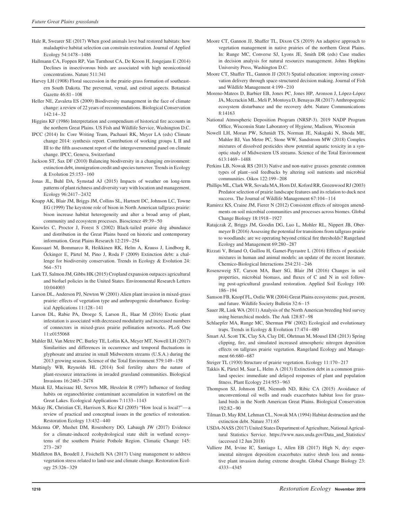- Hale R, Swearer SE (2017) When good animals love bad restored habitats: how maladaptive habitat selection can constrain restoration. Journal of Applied Ecology 54:1478–1486
- Hallmann CA, Foppen RP, Van Turnhout CA, De Kroon H, Jongejans E (2014) Declines in insectivorous birds are associated with high neonicotinoid concentrations. Nature 511:341
- Harvey LH (1908) Floral succession in the prairie-grass formation of southeastern South Dakota. The prevernal, vernal, and estival aspects. Botanical Gazette 46:81–108
- Heller NE, Zavaleta ES (2009) Biodiversity management in the face of climate change: a review of 22 years of recommendations. Biological Conservation 142:14–32
- Higgins KF (1986) Interpretation and compendium of historical fire accounts in the northern Great Plains. US Fish and Wildlife Service, Washington D.C.
- IPCC (2014) In: Core Writing Team, Pachauri RK, Meyer LA (eds) Climate change 2014: synthesis report. Contribution of working groups I, II and III to the fifth assessment report of the intergovernmental panel on climate change. IPCC, Geneva, Switzerland
- Jackson ST, Sax DF (2010) Balancing biodiversity in a changing environment: extinction debt, immigration credit and species turnover. Trends in Ecology & Evolution 25:153–160
- Jonas JL, Buhl DA, Symstad AJ (2015) Impacts of weather on long-term patterns of plant richness and diversity vary with location and management. Ecology 96:2417–2432
- Knapp AK, Blair JM, Briggs JM, Collins SL, Hartnett DC, Johnson LC, Towne EG (1999) The keystone role of bison in North American tallgrass prairie: bison increase habitat heterogeneity and alter a broad array of plant, community and ecosystem processes. Bioscience 49:39–50
- Knowles C, Proctor J, Forest S (2002) Black-tailed prairie dog abundance and distribution in the Great Plains based on historic and contemporary information. Great Plains Research 12:219–254
- Kuussaari M, Bommarco R, Heikkinen RK, Helm A, Krauss J, Lindborg R, Öckinger E, Pärtel M, Pino J, Roda F (2009) Extinction debt: a challenge for biodiversity conservation. Trends in Ecology & Evolution 24: 564–571
- Lark TJ, Salmon JM, Gibbs HK (2015) Cropland expansion outpaces agricultural and biofuel policies in the United States. Environmental Research Letters 10:044003
- Larson DL, Anderson PJ, Newton W (2001) Alien plant invasion in mixed-grass prairie: effects of vegetation type and anthropogenic disturbance. Ecological Applications 11:128–141
- Larson DL, Rabie PA, Droege S, Larson JL, Haar M (2016) Exotic plant infestation is associated with decreased modularity and increased numbers of connectors in mixed-grass prairie pollination networks. PLoS One 11:e0155068
- Mahler BJ, Van Metre PC, Burley TE, Loftin KA, Meyer MT, Nowell LH (2017) Similarities and differences in occurrence and temporal fluctuations in glyphosate and atrazine in small Midwestern streams (U.S.A.) during the 2013 growing season. Science of the Total Environment 579:149–158
- Mattingly WB, Reynolds HL (2014) Soil fertility alters the nature of plant-resource interactions in invaded grassland communities. Biological Invasions 16:2465–2478
- Mazak EJ, Macisaac HJ, Servos MR, Hesslein R (1997) Influence of feeding habits on organochlorine contaminant accumulation in waterfowl on the Great Lakes. Ecological Applications 7:1133–1143
- Mckay JK, Christian CE, Harrison S, Rice KJ (2005) "How local is local?"—a review of practical and conceptual issues in the genetics of restoration. Restoration Ecology 13:432–440
- Mckenna OP, Mushet DM, Rosenberry DO, Labaugh JW (2017) Evidence for a climate-induced ecohydrological state shift in wetland ecosystems of the southern Prairie Pothole Region. Climatic Change 145: 273–287
- Middleton BA, Boudell J, Fisichelli NA (2017) Using management to address vegetation stress related to land-use and climate change. Restoration Ecology 25:326–329
- Moore CT, Gannon JJ, Shaffer TL, Dixon CS (2019) An adaptive approach to vegetation management in native prairies of the northern Great Plains. In: Runge MC, Converse SJ, Lyons JE, Smith DR (eds) Case studies in decision analysis for natural resources management. Johns Hopkins University Press, Washington D.C.
- Moore CT, Shaffer TL, Gannon JJ (2013) Spatial education: improving conservation delivery through space-structured decision making. Journal of Fish and Wildlife Management 4:199–210
- Moreno-Mateos D, Barbier EB, Jones PC, Jones HP, Aronson J, López-López JA, Mccrackin ML, Meli P, Montoya D, Benayas JR (2017) Anthropogenic ecosystem disturbance and the recovery debt. Nature Communications 8:14163
- National Atmospheric Deposition Program (NRSP-3). 2019 NADP Program Office, Wisconsin State Laboratory of Hygiene, Madison, Wisconsin
- Nowell LH, Moran PW, Schmidt TS, Norman JE, Nakagaki N, Shoda ME, Mahler BJ, Van Metre PC, Stone WW, Sandstrom MW (2018) Complex mixtures of dissolved pesticides show potential aquatic toxicity in a synoptic study of Midwestern US streams. Science of the Total Environment 613:1469–1488
- Perkins LB, Nowak RS (2013) Native and non-native grasses generate common types of plant–soil feedbacks by altering soil nutrients and microbial communities. Oikos 122:199–208
- Phillips ML, Clark WR, Sovada MA, Horn DJ, Koford RR, Greenwood RJ (2003) Predator selection of prairie landscape features and its relation to duck nest success. The Journal of Wildlife Management 67:104–114
- Ramirez KS, Craine JM, Fierer N (2012) Consistent effects of nitrogen amendments on soil microbial communities and processes across biomes. Global Change Biology 18:1918–1927
- Ratajczak Z, Briggs JM, Goodin DG, Luo L, Mohler RL, Nippert JB, Obermeyer B (2016) Assessing the potential for transitions from tallgrass prairie to woodlands: are we operating beyond critical fire thresholds? Rangeland Ecology and Management 69:280–287
- Rizzati V, Briand O, Guillou H, Gamet-Payrastre L (2016) Effects of pesticide mixtures in human and animal models: an update of the recent literature. Chemico-Biological Interactions 254:231–246
- Rosenzweig ST, Carson MA, Baer SG, Blair JM (2016) Changes in soil properties, microbial biomass, and fluxes of C and N in soil following post-agricultural grassland restoration. Applied Soil Ecology 100: 186–194
- Samson FB, Knopf FL, Ostlie WR (2004) Great Plains ecosystems: past, present, and future. Wildlife Society Bulletin 32:6–15
- Sauer JR, Link WA (2011) Analysis of the North American breeding bird survey using hierarchical models. The Auk 128:87–98
- Schlaepfer MA, Runge MC, Sherman PW (2002) Ecological and evolutionary traps. Trends in Ecology & Evolution 17:474–480
- Smart AJ, Scott TK, Clay SA, Clay DE, Ohrtman M, Mousel EM (2013) Spring clipping, fire, and simulated increased atmospheric nitrogen deposition effects on tallgrass prairie vegetation. Rangeland Ecology and Management 66:680–687

Steiger TL (1930) Structure of prairie vegetation. Ecology 11:170–217

- Takkis K, Pärtel M, Saar L, Helm A (2013) Extinction debt in a common grassland species: immediate and delayed responses of plant and population fitness. Plant Ecology 214:953–963
- Thompson SJ, Johnson DH, Niemuth ND, Ribic CA (2015) Avoidance of unconventional oil wells and roads exacerbates habitat loss for grassland birds in the North American Great Plains. Biological Conservation 192:82–90
- Tilman D, May RM, Lehman CL, Nowak MA (1994) Habitat destruction and the extinction debt. Nature 371:65
- USDA-NASS (2017) United States Department of Agriculture, National Agricultural Statistics Service. [https://www.nass.usda.gov/Data\\_and\\_Statistics/](https://www.nass.usda.gov/Data_and_Statistics/) (accessed 12 Jun 2018)
- Valliere JM, Irvine IC, Santiago L, Allen EB (2017) High N, dry: experimental nitrogen deposition exacerbates native shrub loss and nonnative plant invasion during extreme drought. Global Change Biology 23: 4333–4345